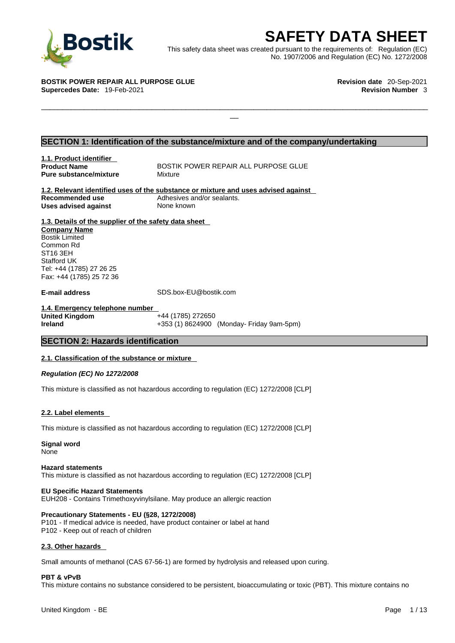

**SAFETY DATA SHEET**<br>
et was created pursuant to the requirements of: Regulation (EC)<br>
No. 1907/2006 and Regulation (EC) No. 1272/2008<br>
Revision date 20-Sep-2021<br>
Revision Number 3 This safety data sheet was created pursuant to the requirements of: Regulation (EC) No. 1907/2006 and Regulation (EC) No. 1272/2008

 $\Box$ 

**BOSTIK POWER REPAIR ALL PURPOSE GLUE Revision date** 20-Sep-2021 **Supercedes Date:** 19-Feb-2021 **Revision Number** 3

### **SECTION 1: Identification of the substance/mixture and of the company/undertaking**

**1.1. Product identifier Pure substance/mixture Mixture** 

**Product Name BOSTIK POWER REPAIR ALL PURPOSE GLUE** 

**1.2. Relevant identified uses of the substance or mixture and uses advised against Recommended use** Adhesives and/or sealants. **Uses advised against** None known

**1.3. Details of the supplier of the safety data sheet Company Name** Bostik Limited Common Rd ST16 3EH Stafford UK Tel: +44 (1785) 27 26 25 Fax: +44 (1785) 25 72 36

**E-mail address** SDS.box-EU@bostik.com

**1.4. Emergency telephone number United Kingdom** +44 (1785) 272650 **Ireland** +353 (1) 8624900 (Monday- Friday 9am-5pm)

### **SECTION 2: Hazards identification**

### **2.1. Classification of the substance or mixture**

*Regulation (EC) No 1272/2008* 

This mixture is classified as not hazardous according to regulation (EC) 1272/2008 [CLP]

### **2.2. Label elements**

This mixture is classified as not hazardous according to regulation (EC) 1272/2008 [CLP]

**Signal word** None

### **Hazard statements**

This mixture is classified as not hazardous according to regulation (EC) 1272/2008 [CLP]

### **EU Specific Hazard Statements**

EUH208 - Contains Trimethoxyvinylsilane. May produce an allergic reaction

### **Precautionary Statements - EU (§28, 1272/2008)**

P101 - If medical advice is needed, have product container or label at hand P102 - Keep out of reach of children

### **2.3. Other hazards**

Small amounts of methanol (CAS 67-56-1) are formed by hydrolysis and released upon curing.

### **PBT & vPvB**

This mixture contains no substance considered to be persistent, bioaccumulating or toxic (PBT). This mixture contains no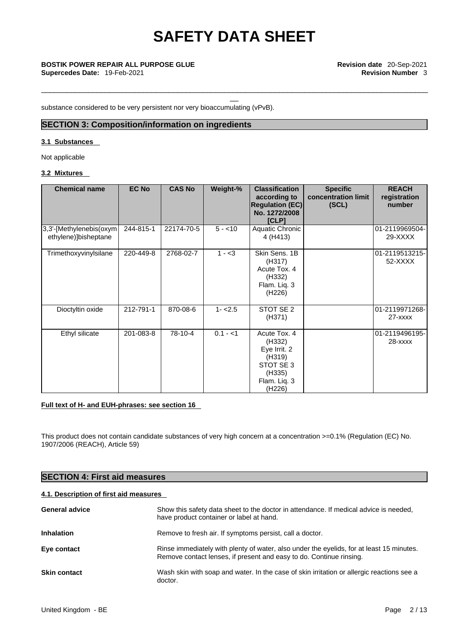\_\_\_\_\_\_\_\_\_\_\_\_\_\_\_\_\_\_\_\_\_\_\_\_\_\_\_\_\_\_\_\_\_\_\_\_\_\_\_\_\_\_\_\_\_\_\_\_\_\_\_\_\_\_\_\_\_\_\_\_\_\_\_\_\_\_\_\_\_\_\_\_\_\_\_\_\_\_\_\_\_\_\_\_\_\_\_\_\_\_\_

# \_\_ **BOSTIK POWER REPAIR ALL PURPOSE GLUE Revision date** 20-Sep-2021

substance considered to be very persistent nor very bioaccumulating (vPvB).

### **SECTION 3: Composition/information on ingredients**

### **3.1 Substances**

Not applicable

### **3.2 Mixtures**

| <b>Chemical name</b>                             | <b>EC No</b> | <b>CAS No</b> | Weight-%  | <b>Classification</b><br>according to<br><b>Regulation (EC)</b><br>No. 1272/2008<br><b>[CLP]</b>               | <b>Specific</b><br>concentration limit<br>(SCL) | <b>REACH</b><br>registration<br>number |
|--------------------------------------------------|--------------|---------------|-----------|----------------------------------------------------------------------------------------------------------------|-------------------------------------------------|----------------------------------------|
| 3,3'-[Methylenebis(oxym]<br>ethylene)]bisheptane | 244-815-1    | 22174-70-5    | $5 - 10$  | Aquatic Chronic<br>4 (H413)                                                                                    |                                                 | 01-2119969504-<br>29-XXXX              |
| Trimethoxyvinylsilane                            | 220-449-8    | 2768-02-7     | $1 - 3$   | Skin Sens. 1B<br>(H317)<br>Acute Tox. 4<br>(H332)<br>Flam. Liq. 3<br>(H226)                                    |                                                 | 01-2119513215-<br>52-XXXX              |
| Dioctyltin oxide                                 | 212-791-1    | 870-08-6      | $1 - 2.5$ | STOT SE 2<br>(H371)                                                                                            |                                                 | 01-2119971268-<br>$27 - XXXX$          |
| Ethyl silicate                                   | 201-083-8    | 78-10-4       | $0.1 - 1$ | Acute Tox. 4<br>(H332)<br>Eye Irrit. 2<br>(H319)<br>STOT SE 3<br>(H335)<br>Flam. Liq. 3<br>(H <sub>226</sub> ) |                                                 | 01-2119496195-<br>$28 - XXXX$          |

### **Full text of H- and EUH-phrases: see section 16**

This product does not contain candidate substances of very high concern at a concentration >=0.1% (Regulation (EC) No. 1907/2006 (REACH), Article 59)

### **SECTION 4: First aid measures**

### **4.1. Description of first aid measures**

| <b>General advice</b> | Show this safety data sheet to the doctor in attendance. If medical advice is needed,<br>have product container or label at hand.                               |
|-----------------------|-----------------------------------------------------------------------------------------------------------------------------------------------------------------|
| <b>Inhalation</b>     | Remove to fresh air. If symptoms persist, call a doctor.                                                                                                        |
| Eye contact           | Rinse immediately with plenty of water, also under the eyelids, for at least 15 minutes.<br>Remove contact lenses, if present and easy to do. Continue rinsing. |
| <b>Skin contact</b>   | Wash skin with soap and water. In the case of skin irritation or allergic reactions see a<br>doctor.                                                            |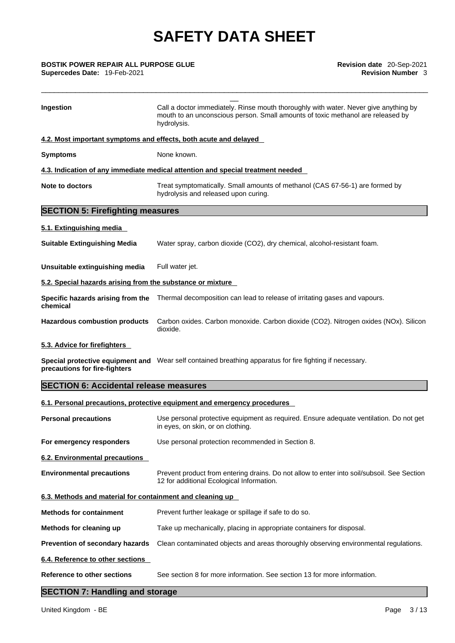**Supercedes Date:** 19-Feb-2021 **Revision Number** 3

| <b>BOSTIK POWER REPAIR ALL PURPOSE GLUE</b><br>Supercedes Date: 19-Feb-2021 | Revision date 20-Sep-2021<br><b>Revision Number 3</b>                                                                                                                                  |  |
|-----------------------------------------------------------------------------|----------------------------------------------------------------------------------------------------------------------------------------------------------------------------------------|--|
| Ingestion                                                                   | Call a doctor immediately. Rinse mouth thoroughly with water. Never give anything by<br>mouth to an unconscious person. Small amounts of toxic methanol are released by<br>hydrolysis. |  |
| 4.2. Most important symptoms and effects, both acute and delayed            |                                                                                                                                                                                        |  |
| <b>Symptoms</b>                                                             | None known.                                                                                                                                                                            |  |
|                                                                             | 4.3. Indication of any immediate medical attention and special treatment needed                                                                                                        |  |
| <b>Note to doctors</b>                                                      | Treat symptomatically. Small amounts of methanol (CAS 67-56-1) are formed by<br>hydrolysis and released upon curing.                                                                   |  |
| <b>SECTION 5: Firefighting measures</b>                                     |                                                                                                                                                                                        |  |
| 5.1. Extinguishing media                                                    |                                                                                                                                                                                        |  |
| <b>Suitable Extinguishing Media</b>                                         | Water spray, carbon dioxide (CO2), dry chemical, alcohol-resistant foam.                                                                                                               |  |
| Unsuitable extinguishing media                                              | Full water jet.                                                                                                                                                                        |  |
| 5.2. Special hazards arising from the substance or mixture                  |                                                                                                                                                                                        |  |
| Specific hazards arising from the<br>chemical                               | Thermal decomposition can lead to release of irritating gases and vapours.                                                                                                             |  |
| <b>Hazardous combustion products</b>                                        | Carbon oxides. Carbon monoxide. Carbon dioxide (CO2). Nitrogen oxides (NOx). Silicon<br>dioxide.                                                                                       |  |
| 5.3. Advice for firefighters                                                |                                                                                                                                                                                        |  |
| precautions for fire-fighters                                               | Special protective equipment and Wear self contained breathing apparatus for fire fighting if necessary.                                                                               |  |
| <b>SECTION 6: Accidental release measures</b>                               |                                                                                                                                                                                        |  |
|                                                                             | 6.1. Personal precautions, protective equipment and emergency procedures                                                                                                               |  |
| <b>Personal precautions</b>                                                 | Use personal protective equipment as required. Ensure adequate ventilation. Do not get<br>in eyes, on skin, or on clothing.                                                            |  |
| For emergency responders                                                    | Use personal protection recommended in Section 8.                                                                                                                                      |  |
| 6.2. Environmental precautions                                              |                                                                                                                                                                                        |  |
| <b>Environmental precautions</b>                                            | Prevent product from entering drains. Do not allow to enter into soil/subsoil. See Section<br>12 for additional Ecological Information.                                                |  |
| 6.3. Methods and material for containment and cleaning up                   |                                                                                                                                                                                        |  |
| <b>Methods for containment</b>                                              | Prevent further leakage or spillage if safe to do so.                                                                                                                                  |  |
| Methods for cleaning up                                                     | Take up mechanically, placing in appropriate containers for disposal.                                                                                                                  |  |
| Prevention of secondary hazards                                             | Clean contaminated objects and areas thoroughly observing environmental regulations.                                                                                                   |  |
| 6.4. Reference to other sections                                            |                                                                                                                                                                                        |  |
| <b>Reference to other sections</b>                                          | See section 8 for more information. See section 13 for more information.                                                                                                               |  |
| <b>SECTION 7: Handling and storage</b>                                      |                                                                                                                                                                                        |  |

### **SECTION 7: Handling and storage**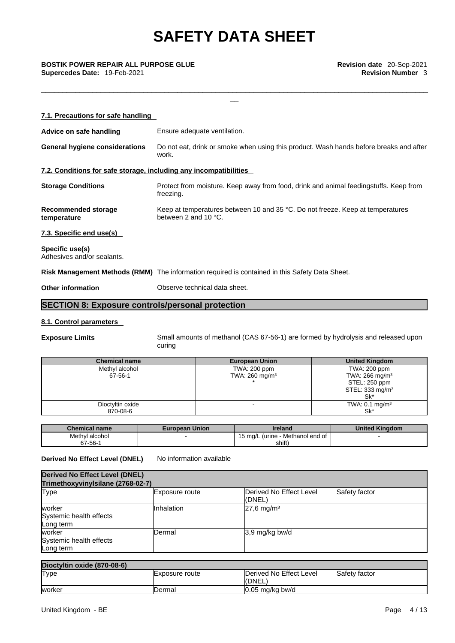\_\_\_\_\_\_\_\_\_\_\_\_\_\_\_\_\_\_\_\_\_\_\_\_\_\_\_\_\_\_\_\_\_\_\_\_\_\_\_\_\_\_\_\_\_\_\_\_\_\_\_\_\_\_\_\_\_\_\_\_\_\_\_\_\_\_\_\_\_\_\_\_\_\_\_\_\_\_\_\_\_\_\_\_\_\_\_\_\_\_\_

\_\_ **BOSTIK POWER REPAIR ALL PURPOSE GLUE Revision date** 20-Sep-2021 **Supercedes Date:** 19-Feb-2021 **Revision Number 3** 

| 7.1. Precautions for safe handling                                |                                                                                                           |
|-------------------------------------------------------------------|-----------------------------------------------------------------------------------------------------------|
| Advice on safe handling                                           | Ensure adequate ventilation.                                                                              |
| <b>General hygiene considerations</b>                             | Do not eat, drink or smoke when using this product. Wash hands before breaks and after<br>work.           |
| 7.2. Conditions for safe storage, including any incompatibilities |                                                                                                           |
| <b>Storage Conditions</b>                                         | Protect from moisture. Keep away from food, drink and animal feedingstuffs. Keep from<br>freezing.        |
| Recommended storage<br>temperature                                | Keep at temperatures between 10 and 35 °C. Do not freeze. Keep at temperatures<br>between 2 and 10 $°C$ . |
| 7.3. Specific end use(s)                                          |                                                                                                           |
| Specific use(s)<br>Adhesives and/or sealants.                     |                                                                                                           |
|                                                                   | Risk Management Methods (RMM) The information required is contained in this Safety Data Sheet.            |
| <b>Other information</b>                                          | Observe technical data sheet.                                                                             |
|                                                                   |                                                                                                           |

### **SECTION 8: Exposure controls/personal protection**

### **8.1. Control parameters**

**Exposure Limits** Small amounts of methanol (CAS 67-56-1) are formed by hydrolysis and released upon curing

| <b>Chemical name</b> | <b>European Union</b>     | <b>United Kingdom</b>        |
|----------------------|---------------------------|------------------------------|
| Methyl alcohol       | TWA: 200 ppm              | TWA: 200 ppm                 |
| 67-56-1              | TWA: $260 \text{ mg/m}^3$ | TWA: $266$ mg/m <sup>3</sup> |
|                      |                           | STEL: 250 ppm                |
|                      |                           | STEL: $333 \text{ mg/m}^3$   |
|                      |                           | Sk'                          |
| Dioctyltin oxide     |                           | TWA: $0.1 \text{ mg/m}^3$    |
| 870-08-6             |                           | Sk*                          |

| <b>Chemical name</b> | <b>European Union</b> | <b>Ireland</b>                        | <b>United Kinadom</b> |
|----------------------|-----------------------|---------------------------------------|-----------------------|
| Methyl alcohol       |                       | - Methanol end of<br>15 mg/L (urine - |                       |
| 67-56-1              |                       | shift)                                |                       |

### **Derived No Effect Level (DNEL)** No information available

| <b>Derived No Effect Level (DNEL)</b><br>Trimethoxyvinylsilane (2768-02-7) |            |                          |  |  |
|----------------------------------------------------------------------------|------------|--------------------------|--|--|
|                                                                            |            |                          |  |  |
| worker<br>Systemic health effects<br>Long term                             | Inhalation | $27,6$ mg/m <sup>3</sup> |  |  |
| worker<br>Systemic health effects<br>Long term                             | Dermal     | 3.9 mg/kg bw/d           |  |  |

| Dioctyltin oxide (870-08-6) |                |                         |               |
|-----------------------------|----------------|-------------------------|---------------|
| <b>Type</b>                 | Exposure route | Derived No Effect Level | Safety factor |
|                             |                | <b>IDNEL</b>            |               |
| worker                      | IDermal        | 10.05 mg/kg bw/d        |               |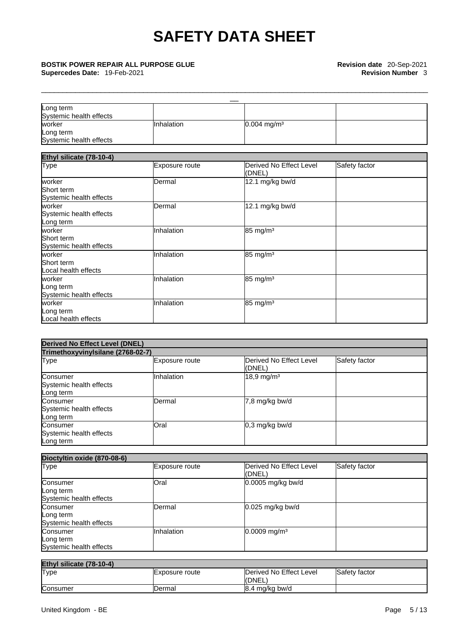# \_\_ **BOSTIK POWER REPAIR ALL PURPOSE GLUE Revision date** 20-Sep-2021 **Supercedes Date:** 19-Feb-2021 **Revision Number** 3

| Long term               |                   |                           |  |
|-------------------------|-------------------|---------------------------|--|
| Systemic health effects |                   |                           |  |
| lworker                 | <b>Inhalation</b> | $0.004$ mg/m <sup>3</sup> |  |
| Long term               |                   |                           |  |
| Systemic health effects |                   |                           |  |

\_\_\_\_\_\_\_\_\_\_\_\_\_\_\_\_\_\_\_\_\_\_\_\_\_\_\_\_\_\_\_\_\_\_\_\_\_\_\_\_\_\_\_\_\_\_\_\_\_\_\_\_\_\_\_\_\_\_\_\_\_\_\_\_\_\_\_\_\_\_\_\_\_\_\_\_\_\_\_\_\_\_\_\_\_\_\_\_\_\_\_

| Ethyl silicate (78-10-4)                        |                       |                                   |               |  |
|-------------------------------------------------|-----------------------|-----------------------------------|---------------|--|
| <b>Type</b>                                     | <b>Exposure route</b> | Derived No Effect Level<br>(DNEL) | Safety factor |  |
| worker<br>Short term<br>Systemic health effects | Dermal                | 12.1 mg/kg bw/d                   |               |  |
| worker<br>Systemic health effects<br>Long term  | Dermal                | 12.1 mg/kg bw/d                   |               |  |
| worker<br>Short term<br>Systemic health effects | Inhalation            | 85 mg/m <sup>3</sup>              |               |  |
| worker<br>Short term<br>Local health effects    | Inhalation            | 85 mg/m <sup>3</sup>              |               |  |
| worker<br>Long term<br>Systemic health effects  | Inhalation            | 85 mg/m <sup>3</sup>              |               |  |
| worker<br>Long term<br>Local health effects     | Inhalation            | 85 mg/m <sup>3</sup>              |               |  |

| <b>Derived No Effect Level (DNEL)</b>            |                |                                   |               |  |
|--------------------------------------------------|----------------|-----------------------------------|---------------|--|
| Trimethoxyvinylsilane (2768-02-7)                |                |                                   |               |  |
| Type                                             | Exposure route | Derived No Effect Level<br>(DNEL) | Safety factor |  |
| Consumer<br>Systemic health effects<br>Long term | Inhalation     | $18,9 \,\mathrm{mg/m^3}$          |               |  |
| Consumer<br>Systemic health effects<br>Long term | <b>Dermal</b>  | 7,8 mg/kg bw/d                    |               |  |
| Consumer<br>Systemic health effects<br>Long term | Oral           | $0,3$ mg/kg bw/d                  |               |  |

| Dioctyltin oxide (870-08-6)                      |                |                                   |               |
|--------------------------------------------------|----------------|-----------------------------------|---------------|
| <b>Type</b>                                      | Exposure route | Derived No Effect Level<br>(DNEL) | Safety factor |
| Consumer<br>Long term<br>Systemic health effects | Oral           | 0.0005 mg/kg bw/d                 |               |
| Consumer<br>Long term<br>Systemic health effects | <b>Dermal</b>  | $0.025$ mg/kg bw/d                |               |
| Consumer<br>Long term<br>Systemic health effects | Inhalation     | $0.0009$ mg/m <sup>3</sup>        |               |

| Ethyl silicate (78-10-4) |                |                         |               |
|--------------------------|----------------|-------------------------|---------------|
| <b>Type</b>              | Exposure route | Derived No Effect Level | Safety factor |
|                          |                | IONEL.                  |               |
| Consumer                 | Dermal         | 8.4 mg/kg bw/d          |               |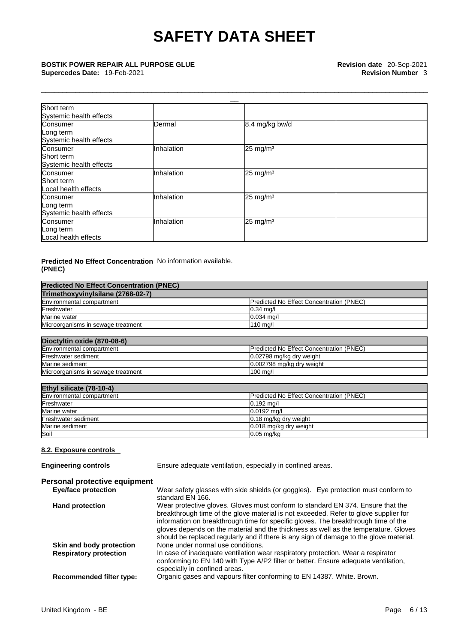\_\_\_\_\_\_\_\_\_\_\_\_\_\_\_\_\_\_\_\_\_\_\_\_\_\_\_\_\_\_\_\_\_\_\_\_\_\_\_\_\_\_\_\_\_\_\_\_\_\_\_\_\_\_\_\_\_\_\_\_\_\_\_\_\_\_\_\_\_\_\_\_\_\_\_\_\_\_\_\_\_\_\_\_\_\_\_\_\_\_\_

# \_\_ **BOSTIK POWER REPAIR ALL PURPOSE GLUE Revision date** 20-Sep-2021 **Supercedes Date:** 19-Feb-2021 **Revision Number** 3

| Short term<br>Systemic health effects             |            |                     |  |
|---------------------------------------------------|------------|---------------------|--|
| Consumer<br>Long term<br>Systemic health effects  | Dermal     | 8.4 mg/kg bw/d      |  |
| Consumer<br>Short term<br>Systemic health effects | Inhalation | $25 \text{ mg/m}^3$ |  |
| Consumer<br>Short term<br>Local health effects    | Inhalation | $25 \text{ mg/m}^3$ |  |
| Consumer<br>Long term<br>Systemic health effects  | Inhalation | $25 \text{ mg/m}^3$ |  |
| Consumer<br>Long term<br>Local health effects     | Inhalation | $25 \text{ mg/m}^3$ |  |

### **Predicted No Effect Concentration** No information available. **(PNEC)**

| <b>Predicted No Effect Concentration (PNEC)</b> |                                                            |
|-------------------------------------------------|------------------------------------------------------------|
| Trimethoxyvinylsilane (2768-02-7)               |                                                            |
| Environmental compartment                       | Predicted No Effect Concentration (PNEC)                   |
| Freshwater                                      | $0.34$ mg/                                                 |
| Marine water                                    | $0.034$ mg/l                                               |
| Microorganisms in sewage treatment              | 110 mg/l                                                   |
| Dioctyltin oxide (870-08-6)                     |                                                            |
| Environmental compartment                       | Predicted No Effect Concentration (PNEC)                   |
| Freshwater sediment                             | 0.02798 mg/kg dry weight                                   |
| Marine sediment                                 | 0.002798 mg/kg dry weight                                  |
| Microorganisms in sewage treatment              | $100$ mg/l                                                 |
| Ethyl silicate (78-10-4)                        |                                                            |
| Environmental compartment                       | Predicted No Effect Concentration (PNEC)                   |
| Freshwater                                      | $0.192$ mg/l                                               |
| Marine water                                    | 0.0192 mg/l                                                |
| Freshwater sediment                             | 0.18 mg/kg dry weight                                      |
| Marine sediment                                 | 0.018 mg/kg dry weight                                     |
| Soil                                            | $0.05$ mg/kg                                               |
| 8.2. Exposure controls                          |                                                            |
| <b>Engineering controls</b>                     | Ensure adequate ventilation, especially in confined areas. |

| Personal protective equipment |                                                                                                                                                                                                                                                                                                                                                                                                                                                |
|-------------------------------|------------------------------------------------------------------------------------------------------------------------------------------------------------------------------------------------------------------------------------------------------------------------------------------------------------------------------------------------------------------------------------------------------------------------------------------------|
| Eye/face protection           | Wear safety glasses with side shields (or goggles). Eye protection must conform to<br>standard EN 166.                                                                                                                                                                                                                                                                                                                                         |
| <b>Hand protection</b>        | Wear protective gloves. Gloves must conform to standard EN 374. Ensure that the<br>breakthrough time of the glove material is not exceeded. Refer to glove supplier for<br>information on breakthrough time for specific gloves. The breakthrough time of the<br>gloves depends on the material and the thickness as well as the temperature. Gloves<br>should be replaced regularly and if there is any sign of damage to the glove material. |

**Skin and body protection** None under normal use conditions. **Respiratory protection** In case of inadequate ventilation wear respiratory protection. Wear a respirator conforming to EN 140 with Type A/P2 filter or better. Ensure adequate ventilation, especially in confined areas. **Recommended filter type:** Organic gases and vapours filter conforming to EN 14387. White. Brown.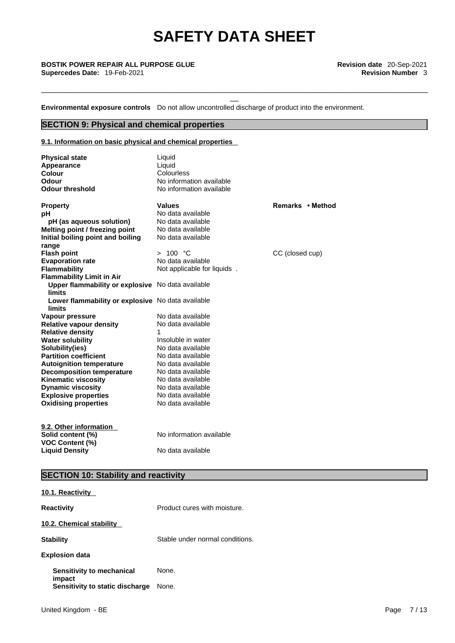\_\_\_\_\_\_\_\_\_\_\_\_\_\_\_\_\_\_\_\_\_\_\_\_\_\_\_\_\_\_\_\_\_\_\_\_\_\_\_\_\_\_\_\_\_\_\_\_\_\_\_\_\_\_\_\_\_\_\_\_\_\_\_\_\_\_\_\_\_\_\_\_\_\_\_\_\_\_\_\_\_\_\_\_\_\_\_\_\_\_\_

# \_\_ **BOSTIK POWER REPAIR ALL PURPOSE GLUE Revision date** 20-Sep-2021 **Supercedes Date:** 19-Feb-2021 **Revision Number** 3

**Environmental exposure controls** Do not allow uncontrolled discharge of product into the environment.

### **SECTION 9: Physical and chemical properties**

### **9.1. Information on basic physical and chemical properties**

| <b>Physical state</b><br>Appearance<br><b>Colour</b><br>Odour      | Liquid<br>Liquid<br>Colourless<br>No information available |                  |
|--------------------------------------------------------------------|------------------------------------------------------------|------------------|
| <b>Odour threshold</b>                                             | No information available                                   |                  |
| <b>Property</b>                                                    | <b>Values</b>                                              | Remarks • Method |
| рH                                                                 | No data available                                          |                  |
| pH (as aqueous solution)                                           | No data available                                          |                  |
| Melting point / freezing point                                     | No data available                                          |                  |
| Initial boiling point and boiling                                  | No data available                                          |                  |
| range                                                              |                                                            |                  |
| <b>Flash point</b>                                                 | > 100 °C                                                   | CC (closed cup)  |
| <b>Evaporation rate</b>                                            | No data available                                          |                  |
| <b>Flammability</b>                                                | Not applicable for liquids.                                |                  |
| <b>Flammability Limit in Air</b>                                   |                                                            |                  |
| Upper flammability or explosive No data available<br><b>limits</b> |                                                            |                  |
| Lower flammability or explosive No data available<br>limits        |                                                            |                  |
| Vapour pressure                                                    | No data available                                          |                  |
| <b>Relative vapour density</b>                                     | No data available                                          |                  |
| <b>Relative density</b>                                            |                                                            |                  |
| <b>Water solubility</b>                                            | Insoluble in water                                         |                  |
| Solubility(ies)                                                    | No data available                                          |                  |
| <b>Partition coefficient</b>                                       | No data available                                          |                  |
| <b>Autoignition temperature</b>                                    | No data available                                          |                  |
| <b>Decomposition temperature</b>                                   | No data available                                          |                  |
| <b>Kinematic viscosity</b>                                         | No data available                                          |                  |
| <b>Dynamic viscosity</b>                                           | No data available                                          |                  |
| <b>Explosive properties</b>                                        | No data available                                          |                  |
| <b>Oxidising properties</b>                                        | No data available                                          |                  |
| 9.2. Other information                                             |                                                            |                  |
| Solid content (%)<br><b>VOC Content (%)</b>                        | No information available                                   |                  |
| <b>Liquid Densitv</b>                                              | No data available                                          |                  |

### **SECTION 10: Stability and reactivity**

| 10.1. Reactivity                    |                                 |
|-------------------------------------|---------------------------------|
| <b>Reactivity</b>                   | Product cures with moisture.    |
| 10.2. Chemical stability            |                                 |
| <b>Stability</b>                    | Stable under normal conditions. |
| <b>Explosion data</b>               |                                 |
| Sensitivity to mechanical<br>impact | None.                           |
| Sensitivity to static discharge     | None.                           |
|                                     |                                 |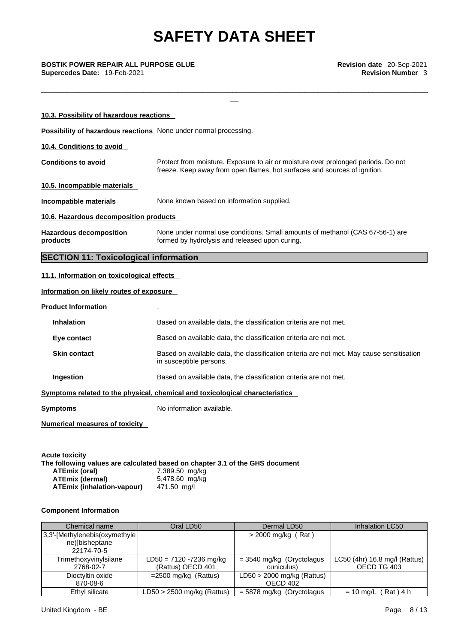\_\_\_\_\_\_\_\_\_\_\_\_\_\_\_\_\_\_\_\_\_\_\_\_\_\_\_\_\_\_\_\_\_\_\_\_\_\_\_\_\_\_\_\_\_\_\_\_\_\_\_\_\_\_\_\_\_\_\_\_\_\_\_\_\_\_\_\_\_\_\_\_\_\_\_\_\_\_\_\_\_\_\_\_\_\_\_\_\_\_\_

\_\_ **BOSTIK POWER REPAIR ALL PURPOSE GLUE Revision date** 20-Sep-2021 **Supercedes Date:** 19-Feb-2021 **Revision Number** 3

| 10.3. Possibility of hazardous reactions                         |                                                                                                                                                                |
|------------------------------------------------------------------|----------------------------------------------------------------------------------------------------------------------------------------------------------------|
| Possibility of hazardous reactions None under normal processing. |                                                                                                                                                                |
| 10.4. Conditions to avoid                                        |                                                                                                                                                                |
| <b>Conditions to avoid</b>                                       | Protect from moisture. Exposure to air or moisture over prolonged periods. Do not<br>freeze. Keep away from open flames, hot surfaces and sources of ignition. |
| 10.5. Incompatible materials                                     |                                                                                                                                                                |
| Incompatible materials                                           | None known based on information supplied.                                                                                                                      |
| 10.6. Hazardous decomposition products                           |                                                                                                                                                                |
| <b>Hazardous decomposition</b><br>products                       | None under normal use conditions. Small amounts of methanol (CAS 67-56-1) are<br>formed by hydrolysis and released upon curing.                                |
| <b>SECTION 11: Toxicological information</b>                     |                                                                                                                                                                |
| 11.1. Information on toxicological effects                       |                                                                                                                                                                |
| Information on likely routes of exposure                         |                                                                                                                                                                |
| <b>Product Information</b>                                       |                                                                                                                                                                |
| <b>Inhalation</b>                                                | Based on available data, the classification criteria are not met.                                                                                              |
| Eye contact                                                      | Based on available data, the classification criteria are not met.                                                                                              |
| <b>Skin contact</b>                                              | Based on available data, the classification criteria are not met. May cause sensitisation<br>in susceptible persons.                                           |
| Ingestion                                                        | Based on available data, the classification criteria are not met.                                                                                              |
|                                                                  | Symptoms related to the physical, chemical and toxicological characteristics                                                                                   |
| <b>Symptoms</b>                                                  | No information available.                                                                                                                                      |
|                                                                  |                                                                                                                                                                |

|                            | The following values are calculated based on chapter 3.1 of the GHS document |
|----------------------------|------------------------------------------------------------------------------|
| <b>ATEmix (oral)</b>       | 7,389.50 mg/kg                                                               |
| <b>ATEmix (dermal)</b>     | 5,478.60 mg/kg                                                               |
| ATEmix (inhalation-vapour) | 471.50 ma/l                                                                  |
|                            |                                                                              |

### **Component Information**

| Chemical name                                                     | Oral LD50                                    | Dermal LD50                               | Inhalation LC50                              |
|-------------------------------------------------------------------|----------------------------------------------|-------------------------------------------|----------------------------------------------|
| $ 3,3$ -[Methylenebis(oxymethyle]<br>ne)]bisheptane<br>22174-70-5 |                                              | $>$ 2000 mg/kg (Rat)                      |                                              |
| Trimethoxyvinylsilane<br>2768-02-7                                | LD50 = 7120 -7236 mg/kg<br>(Rattus) OECD 401 | $=$ 3540 mg/kg (Oryctolagus<br>cuniculus) | LC50 (4hr) 16.8 mg/l (Rattus)<br>OECD TG 403 |
| Dioctyltin oxide<br>870-08-6                                      | $=$ 2500 mg/kg (Rattus)                      | $LD50 > 2000$ mg/kg (Rattus)<br>OECD 402  |                                              |
| Ethyl silicate                                                    | $LD50 > 2500$ mg/kg (Rattus)                 | $= 5878$ mg/kg (Oryctolagus               | $(Rat)$ 4 h<br>$= 10$ mg/L                   |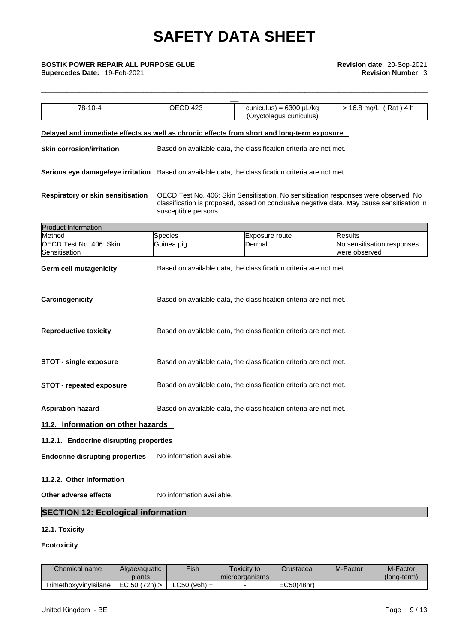\_\_\_\_\_\_\_\_\_\_\_\_\_\_\_\_\_\_\_\_\_\_\_\_\_\_\_\_\_\_\_\_\_\_\_\_\_\_\_\_\_\_\_\_\_\_\_\_\_\_\_\_\_\_\_\_\_\_\_\_\_\_\_\_\_\_\_\_\_\_\_\_\_\_\_\_\_\_\_\_\_\_\_\_\_\_\_\_\_\_\_

# \_\_ **BOSTIK POWER REPAIR ALL PURPOSE GLUE Revision date** 20-Sep-2021

| 78-10-4<br>OECD 423<br>cuniculus) = $6300 \mu L/kg$<br>> 16.8 mg/L (Rat) 4 h<br>(Oryctolagus cuniculus)<br>Based on available data, the classification criteria are not met.<br>OECD Test No. 406: Skin Sensitisation. No sensitisation responses were observed. No<br>classification is proposed, based on conclusive negative data. May cause sensitisation in<br>susceptible persons.<br>Species<br>Results<br>Exposure route<br>Guinea pig<br>No sensitisation responses<br>Dermal<br>were observed<br>Based on available data, the classification criteria are not met.<br>Based on available data, the classification criteria are not met.<br>Based on available data, the classification criteria are not met.<br>Based on available data, the classification criteria are not met.<br>Based on available data, the classification criteria are not met.<br>Based on available data, the classification criteria are not met.<br>No information available.<br>No information available. |                                  |  |  |
|-------------------------------------------------------------------------------------------------------------------------------------------------------------------------------------------------------------------------------------------------------------------------------------------------------------------------------------------------------------------------------------------------------------------------------------------------------------------------------------------------------------------------------------------------------------------------------------------------------------------------------------------------------------------------------------------------------------------------------------------------------------------------------------------------------------------------------------------------------------------------------------------------------------------------------------------------------------------------------------------------|----------------------------------|--|--|
| Delayed and immediate effects as well as chronic effects from short and long-term exposure<br>Serious eye damage/eye irritation Based on available data, the classification criteria are not met.<br>Respiratory or skin sensitisation<br>11.2. Information on other hazards<br>11.2.1. Endocrine disrupting properties<br><b>Endocrine disrupting properties</b><br>Other adverse effects<br><b>SECTION 12: Ecological information</b>                                                                                                                                                                                                                                                                                                                                                                                                                                                                                                                                                         |                                  |  |  |
|                                                                                                                                                                                                                                                                                                                                                                                                                                                                                                                                                                                                                                                                                                                                                                                                                                                                                                                                                                                                 |                                  |  |  |
|                                                                                                                                                                                                                                                                                                                                                                                                                                                                                                                                                                                                                                                                                                                                                                                                                                                                                                                                                                                                 | <b>Skin corrosion/irritation</b> |  |  |
|                                                                                                                                                                                                                                                                                                                                                                                                                                                                                                                                                                                                                                                                                                                                                                                                                                                                                                                                                                                                 |                                  |  |  |
|                                                                                                                                                                                                                                                                                                                                                                                                                                                                                                                                                                                                                                                                                                                                                                                                                                                                                                                                                                                                 |                                  |  |  |
|                                                                                                                                                                                                                                                                                                                                                                                                                                                                                                                                                                                                                                                                                                                                                                                                                                                                                                                                                                                                 | <b>Product Information</b>       |  |  |
|                                                                                                                                                                                                                                                                                                                                                                                                                                                                                                                                                                                                                                                                                                                                                                                                                                                                                                                                                                                                 | Method                           |  |  |
|                                                                                                                                                                                                                                                                                                                                                                                                                                                                                                                                                                                                                                                                                                                                                                                                                                                                                                                                                                                                 | OECD Test No. 406: Skin          |  |  |
|                                                                                                                                                                                                                                                                                                                                                                                                                                                                                                                                                                                                                                                                                                                                                                                                                                                                                                                                                                                                 | Sensitisation                    |  |  |
|                                                                                                                                                                                                                                                                                                                                                                                                                                                                                                                                                                                                                                                                                                                                                                                                                                                                                                                                                                                                 | <b>Germ cell mutagenicity</b>    |  |  |
|                                                                                                                                                                                                                                                                                                                                                                                                                                                                                                                                                                                                                                                                                                                                                                                                                                                                                                                                                                                                 | Carcinogenicity                  |  |  |
|                                                                                                                                                                                                                                                                                                                                                                                                                                                                                                                                                                                                                                                                                                                                                                                                                                                                                                                                                                                                 | <b>Reproductive toxicity</b>     |  |  |
|                                                                                                                                                                                                                                                                                                                                                                                                                                                                                                                                                                                                                                                                                                                                                                                                                                                                                                                                                                                                 | <b>STOT - single exposure</b>    |  |  |
|                                                                                                                                                                                                                                                                                                                                                                                                                                                                                                                                                                                                                                                                                                                                                                                                                                                                                                                                                                                                 | <b>STOT - repeated exposure</b>  |  |  |
|                                                                                                                                                                                                                                                                                                                                                                                                                                                                                                                                                                                                                                                                                                                                                                                                                                                                                                                                                                                                 | <b>Aspiration hazard</b>         |  |  |
|                                                                                                                                                                                                                                                                                                                                                                                                                                                                                                                                                                                                                                                                                                                                                                                                                                                                                                                                                                                                 |                                  |  |  |
|                                                                                                                                                                                                                                                                                                                                                                                                                                                                                                                                                                                                                                                                                                                                                                                                                                                                                                                                                                                                 |                                  |  |  |
|                                                                                                                                                                                                                                                                                                                                                                                                                                                                                                                                                                                                                                                                                                                                                                                                                                                                                                                                                                                                 |                                  |  |  |
|                                                                                                                                                                                                                                                                                                                                                                                                                                                                                                                                                                                                                                                                                                                                                                                                                                                                                                                                                                                                 | 11.2.2. Other information        |  |  |
|                                                                                                                                                                                                                                                                                                                                                                                                                                                                                                                                                                                                                                                                                                                                                                                                                                                                                                                                                                                                 |                                  |  |  |
|                                                                                                                                                                                                                                                                                                                                                                                                                                                                                                                                                                                                                                                                                                                                                                                                                                                                                                                                                                                                 |                                  |  |  |

### **12.1. Toxicity**

### **Ecotoxicity**

| Chemical name         | Algae/aguatic<br>plants | Fish          | ⊺oxicit∨ to<br>I microorganisms I | Crustacea  | M-Factor | M-Factor<br>(Iona-term) |
|-----------------------|-------------------------|---------------|-----------------------------------|------------|----------|-------------------------|
| TrimethoxyvinvIsilane | (72h)<br>EC 50          | (96h)<br>LC50 |                                   | EC50(48hr) |          |                         |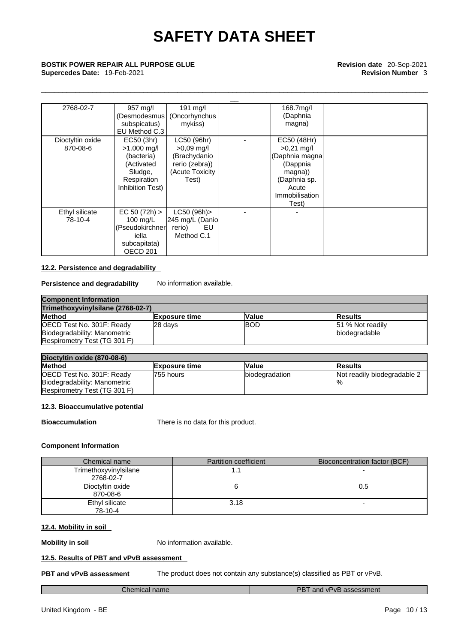\_\_\_\_\_\_\_\_\_\_\_\_\_\_\_\_\_\_\_\_\_\_\_\_\_\_\_\_\_\_\_\_\_\_\_\_\_\_\_\_\_\_\_\_\_\_\_\_\_\_\_\_\_\_\_\_\_\_\_\_\_\_\_\_\_\_\_\_\_\_\_\_\_\_\_\_\_\_\_\_\_\_\_\_\_\_\_\_\_\_\_

# \_\_ **BOSTIK POWER REPAIR ALL PURPOSE GLUE Revision date** 20-Sep-2021 **Supercedes Date:** 19-Feb-2021 **Revision Number** 3

| 2768-02-7        | 957 mg/l            | 191 mg/l                     | 168.7mg/l             |  |
|------------------|---------------------|------------------------------|-----------------------|--|
|                  |                     | Desmodesmus   (Oncorhynchus) | (Daphnia              |  |
|                  | subspicatus)        | mykiss)                      | magna)                |  |
|                  | EU Method C.3       |                              |                       |  |
| Dioctyltin oxide | EC50 (3hr)          | LC50 (96hr)                  | EC50 (48Hr)           |  |
| 870-08-6         | $>1.000$ mg/l       | $>0.09$ mg/l                 | $>0.21$ mg/l          |  |
|                  | (bacteria)          | (Brachydanio                 | (Daphnia magna        |  |
|                  | (Activated          | rerio (zebra))               | (Dappnia              |  |
|                  | Sludge,             | (Acute Toxicity              | magna))               |  |
|                  | Respiration         | Test)                        | (Daphnia sp.          |  |
|                  | Inhibition Test)    |                              | Acute                 |  |
|                  |                     |                              | <b>Immobilisation</b> |  |
|                  |                     |                              | Test)                 |  |
| Ethyl silicate   | EC 50 (72h)         | LC50 (96h)>                  |                       |  |
| 78-10-4          | 100 mg/L            | 245 mg/L (Danio              |                       |  |
|                  | Pseudokirchner      | rerio)<br>EU                 |                       |  |
|                  | iella               | Method C.1                   |                       |  |
|                  | subcapitata)        |                              |                       |  |
|                  | OECD <sub>201</sub> |                              |                       |  |

### **12.2. Persistence and degradability**

**Persistence and degradability** No information available.

| <b>Component Information</b><br>Trimethoxyvinylsilane (2768-02-7) |         |             |                  |
|-------------------------------------------------------------------|---------|-------------|------------------|
|                                                                   |         |             | <b>Method</b>    |
| OECD Test No. 301F: Ready                                         | 28 days | <b>IBOD</b> | 51 % Not readily |
| Biodegradability: Manometric                                      |         |             | biodegradable    |
| Respirometry Test (TG 301 F)                                      |         |             |                  |

| Dioctyltin oxide (870-08-6)  |                       |                        |                             |
|------------------------------|-----------------------|------------------------|-----------------------------|
| <b>Method</b>                | <b>IExposure time</b> | <b>Value</b>           | <b>Results</b>              |
| OECD Test No. 301F: Ready    | l755 hours            | <b>Ibiodegradation</b> | Not readily biodegradable 2 |
| Biodegradability: Manometric |                       |                        |                             |
| Respirometry Test (TG 301 F) |                       |                        |                             |

### **12.3. Bioaccumulative potential**

**Bioaccumulation** There is no data for this product.

### **Component Information**

| Chemical name                      | <b>Partition coefficient</b> | Bioconcentration factor (BCF) |
|------------------------------------|------------------------------|-------------------------------|
| Trimethoxyvinylsilane<br>2768-02-7 |                              |                               |
| Dioctyltin oxide<br>870-08-6       |                              | 0.5                           |
| Ethyl silicate<br>78-10-4          | 3.18                         |                               |

### **12.4. Mobility in soil**

**Mobility in soil** No information available.

### **12.5. Results of PBT and vPvB assessment**

**PBT and vPvB assessment** The product does not contain any substance(s) classified as PBT or vPvB.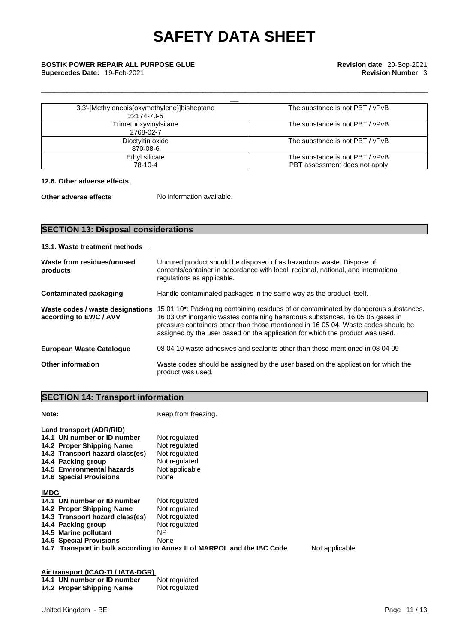# \_\_ **BOSTIK POWER REPAIR ALL PURPOSE GLUE Revision date** 20-Sep-2021

| 3,3'-[Methylenebis(oxymethylene)]bisheptane<br>22174-70-5 | The substance is not PBT / vPvB |
|-----------------------------------------------------------|---------------------------------|
| Trimethoxyvinylsilane<br>2768-02-7                        | The substance is not PBT / vPvB |
| Dioctyltin oxide<br>870-08-6                              | The substance is not PBT / vPvB |
| Ethyl silicate                                            | The substance is not PBT / vPvB |
| 78-10-4                                                   | PBT assessment does not apply   |

\_\_\_\_\_\_\_\_\_\_\_\_\_\_\_\_\_\_\_\_\_\_\_\_\_\_\_\_\_\_\_\_\_\_\_\_\_\_\_\_\_\_\_\_\_\_\_\_\_\_\_\_\_\_\_\_\_\_\_\_\_\_\_\_\_\_\_\_\_\_\_\_\_\_\_\_\_\_\_\_\_\_\_\_\_\_\_\_\_\_\_

### **12.6. Other adverse effects**

**Other adverse effects** No information available.

### **SECTION 13: Disposal considerations**

### **13.1. Waste treatment methods**

| Waste from residues/unused<br>products                     | Uncured product should be disposed of as hazardous waste. Dispose of<br>contents/container in accordance with local, regional, national, and international<br>regulations as applicable.                                                                                                                                                    |
|------------------------------------------------------------|---------------------------------------------------------------------------------------------------------------------------------------------------------------------------------------------------------------------------------------------------------------------------------------------------------------------------------------------|
| <b>Contaminated packaging</b>                              | Handle contaminated packages in the same way as the product itself.                                                                                                                                                                                                                                                                         |
| Waste codes / waste designations<br>according to EWC / AVV | 15 01 10*: Packaging containing residues of or contaminated by dangerous substances.<br>16 03 03* inorganic wastes containing hazardous substances. 16 05 05 gases in<br>pressure containers other than those mentioned in 16 05 04. Waste codes should be<br>assigned by the user based on the application for which the product was used. |
| <b>European Waste Catalogue</b>                            | 08 04 10 waste adhesives and sealants other than those mentioned in 08 04 09                                                                                                                                                                                                                                                                |
| <b>Other information</b>                                   | Waste codes should be assigned by the user based on the application for which the<br>product was used.                                                                                                                                                                                                                                      |

### **SECTION 14: Transport information**

| Note:                                                                                                                                                                                                         | Keep from freezing.                                                                                                                                                         |
|---------------------------------------------------------------------------------------------------------------------------------------------------------------------------------------------------------------|-----------------------------------------------------------------------------------------------------------------------------------------------------------------------------|
| Land transport (ADR/RID)<br>14.1 UN number or ID number<br>14.2 Proper Shipping Name<br>14.3 Transport hazard class(es)<br>14.4 Packing group<br>14.5 Environmental hazards<br><b>14.6 Special Provisions</b> | Not regulated<br>Not regulated<br>Not regulated<br>Not regulated<br>Not applicable<br>None                                                                                  |
| <b>IMDG</b><br>14.1 UN number or ID number<br>14.2 Proper Shipping Name<br>14.3 Transport hazard class(es)<br>14.4 Packing group<br>14.5 Marine pollutant<br><b>14.6 Special Provisions</b>                   | Not regulated<br>Not regulated<br>Not regulated<br>Not regulated<br>ΝP<br>None<br>14.7 Transport in bulk according to Annex II of MARPOL and the IBC Code<br>Not applicable |
|                                                                                                                                                                                                               |                                                                                                                                                                             |

| Air transport (ICAO-11/IATA-DGR) |               |
|----------------------------------|---------------|
| 14.1 UN number or ID number      | Not regulated |
| 14.2 Proper Shipping Name        | Not regulated |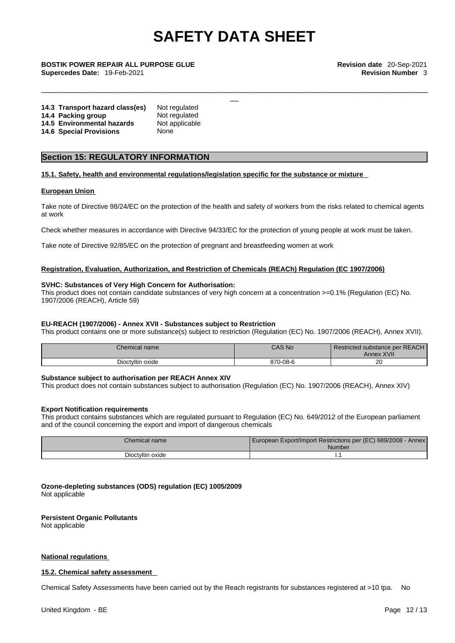\_\_\_\_\_\_\_\_\_\_\_\_\_\_\_\_\_\_\_\_\_\_\_\_\_\_\_\_\_\_\_\_\_\_\_\_\_\_\_\_\_\_\_\_\_\_\_\_\_\_\_\_\_\_\_\_\_\_\_\_\_\_\_\_\_\_\_\_\_\_\_\_\_\_\_\_\_\_\_\_\_\_\_\_\_\_\_\_\_\_\_

\_\_ **BOSTIK POWER REPAIR ALL PURPOSE GLUE Revision date** 20-Sep-2021 **Supercedes Date:** 19-Feb-2021 **Revision Number** 3

| 14.3 Transport hazard class(es) | Not regulated  |
|---------------------------------|----------------|
| 14.4 Packing group              | Not regulated  |
| 14.5 Environmental hazards      | Not applicable |
| <b>14.6 Special Provisions</b>  | None           |

### **Section 15: REGULATORY INFORMATION**

### **15.1. Safety, health and environmental regulations/legislation specific for the substance or mixture**

#### **European Union**

Take note of Directive 98/24/EC on the protection of the health and safety of workers from the risks related to chemical agents at work

Check whether measures in accordance with Directive 94/33/EC for the protection of young people at work must be taken.

Take note of Directive 92/85/EC on the protection of pregnant and breastfeeding women at work

### **Registration, Evaluation, Authorization, and Restriction of Chemicals (REACh) Regulation (EC 1907/2006)**

#### **SVHC: Substances of Very High Concern for Authorisation:**

This product does not contain candidate substances of very high concern at a concentration >=0.1% (Regulation (EC) No. 1907/2006 (REACH), Article 59)

### **EU-REACH (1907/2006) - Annex XVII - Substances subject to Restriction**

This product contains one or more substance(s) subject to restriction (Regulation (EC) No. 1907/2006 (REACH), Annex XVII).

| Chemical name    | <b>CAS No</b> | Restricted substance per REACH<br><b>Annex XVII</b> |
|------------------|---------------|-----------------------------------------------------|
| Dioctyltin oxide | 870-08-6      | $\sim$<br>∠∪                                        |

### **Substance subject to authorisation per REACH Annex XIV**

This product does not contain substances subject to authorisation (Regulation (EC) No. 1907/2006 (REACH), Annex XIV)

### **Export Notification requirements**

This product contains substances which are regulated pursuant to Regulation (EC) No. 649/2012 of the European parliament and of the council concerning the export and import of dangerous chemicals

| $\cap$ hemical name $\circ$ | U European Export/Import Restrictions per (EC) 689/2008 -<br><b>Annex</b><br>Number |
|-----------------------------|-------------------------------------------------------------------------------------|
| Dioctyltin oxide            |                                                                                     |

**Ozone-depleting substances (ODS) regulation (EC) 1005/2009** Not applicable

#### **Persistent Organic Pollutants**

Not applicable

### **National regulations**

### **15.2. Chemical safety assessment**

Chemical Safety Assessments have been carried out by the Reach registrants for substances registered at >10 tpa. No